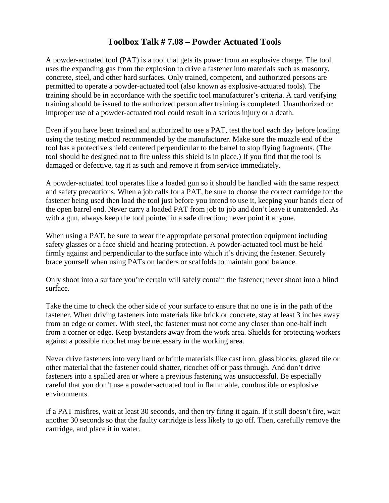## **Toolbox Talk # 7.08 – Powder Actuated Tools**

A powder-actuated tool (PAT) is a tool that gets its power from an explosive charge. The tool uses the expanding gas from the explosion to drive a fastener into materials such as masonry, concrete, steel, and other hard surfaces. Only trained, competent, and authorized persons are permitted to operate a powder-actuated tool (also known as explosive-actuated tools). The training should be in accordance with the specific tool manufacturer's criteria. A card verifying training should be issued to the authorized person after training is completed. Unauthorized or improper use of a powder-actuated tool could result in a serious injury or a death.

Even if you have been trained and authorized to use a PAT, test the tool each day before loading using the testing method recommended by the manufacturer. Make sure the muzzle end of the tool has a protective shield centered perpendicular to the barrel to stop flying fragments. (The tool should be designed not to fire unless this shield is in place.) If you find that the tool is damaged or defective, tag it as such and remove it from service immediately.

A powder-actuated tool operates like a loaded gun so it should be handled with the same respect and safety precautions. When a job calls for a PAT, be sure to choose the correct cartridge for the fastener being used then load the tool just before you intend to use it, keeping your hands clear of the open barrel end. Never carry a loaded PAT from job to job and don't leave it unattended. As with a gun, always keep the tool pointed in a safe direction; never point it anyone.

When using a PAT, be sure to wear the appropriate personal protection equipment including safety glasses or a face shield and hearing protection. A powder-actuated tool must be held firmly against and perpendicular to the surface into which it's driving the fastener. Securely brace yourself when using PATs on ladders or scaffolds to maintain good balance.

Only shoot into a surface you're certain will safely contain the fastener; never shoot into a blind surface.

Take the time to check the other side of your surface to ensure that no one is in the path of the fastener. When driving fasteners into materials like brick or concrete, stay at least 3 inches away from an edge or corner. With steel, the fastener must not come any closer than one-half inch from a corner or edge. Keep bystanders away from the work area. Shields for protecting workers against a possible ricochet may be necessary in the working area.

Never drive fasteners into very hard or brittle materials like cast iron, glass blocks, glazed tile or other material that the fastener could shatter, ricochet off or pass through. And don't drive fasteners into a spalled area or where a previous fastening was unsuccessful. Be especially careful that you don't use a powder-actuated tool in flammable, combustible or explosive environments.

If a PAT misfires, wait at least 30 seconds, and then try firing it again. If it still doesn't fire, wait another 30 seconds so that the faulty cartridge is less likely to go off. Then, carefully remove the cartridge, and place it in water.